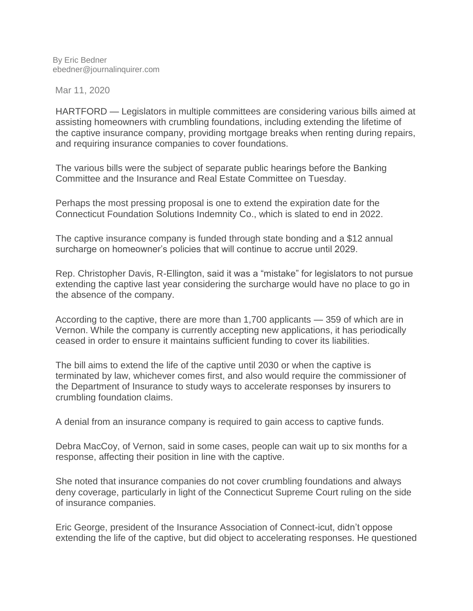By Eric Bedner ebedner@journalinquirer.com

Mar 11, 2020

HARTFORD — Legislators in multiple committees are considering various bills aimed at assisting homeowners with crumbling foundations, including extending the lifetime of the captive insurance company, providing mortgage breaks when renting during repairs, and requiring insurance companies to cover foundations.

The various bills were the subject of separate public hearings before the Banking Committee and the Insurance and Real Estate Committee on Tuesday.

Perhaps the most pressing proposal is one to extend the expiration date for the Connecticut Foundation Solutions Indemnity Co., which is slated to end in 2022.

The captive insurance company is funded through state bonding and a \$12 annual surcharge on homeowner's policies that will continue to accrue until 2029.

Rep. Christopher Davis, R-Ellington, said it was a "mistake" for legislators to not pursue extending the captive last year considering the surcharge would have no place to go in the absence of the company.

According to the captive, there are more than 1,700 applicants — 359 of which are in Vernon. While the company is currently accepting new applications, it has periodically ceased in order to ensure it maintains sufficient funding to cover its liabilities.

The bill aims to extend the life of the captive until 2030 or when the captive is terminated by law, whichever comes first, and also would require the commissioner of the Department of Insurance to study ways to accelerate responses by insurers to crumbling foundation claims.

A denial from an insurance company is required to gain access to captive funds.

Debra MacCoy, of Vernon, said in some cases, people can wait up to six months for a response, affecting their position in line with the captive.

She noted that insurance companies do not cover crumbling foundations and always deny coverage, particularly in light of the Connecticut Supreme Court ruling on the side of insurance companies.

Eric George, president of the Insurance Association of Connect-icut, didn't oppose extending the life of the captive, but did object to accelerating responses. He questioned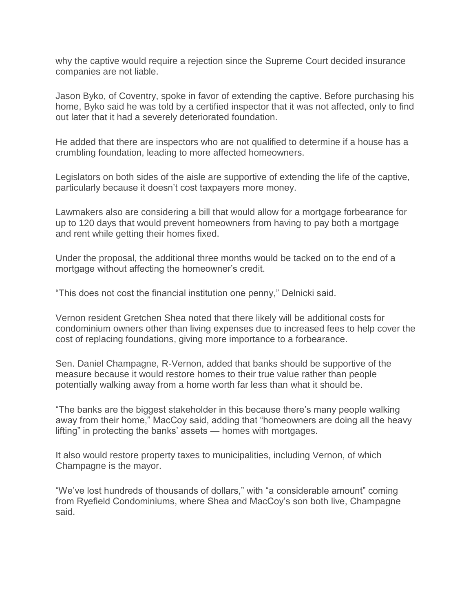why the captive would require a rejection since the Supreme Court decided insurance companies are not liable.

Jason Byko, of Coventry, spoke in favor of extending the captive. Before purchasing his home, Byko said he was told by a certified inspector that it was not affected, only to find out later that it had a severely deteriorated foundation.

He added that there are inspectors who are not qualified to determine if a house has a crumbling foundation, leading to more affected homeowners.

Legislators on both sides of the aisle are supportive of extending the life of the captive, particularly because it doesn't cost taxpayers more money.

Lawmakers also are considering a bill that would allow for a mortgage forbearance for up to 120 days that would prevent homeowners from having to pay both a mortgage and rent while getting their homes fixed.

Under the proposal, the additional three months would be tacked on to the end of a mortgage without affecting the homeowner's credit.

"This does not cost the financial institution one penny," Delnicki said.

Vernon resident Gretchen Shea noted that there likely will be additional costs for condominium owners other than living expenses due to increased fees to help cover the cost of replacing foundations, giving more importance to a forbearance.

Sen. Daniel Champagne, R-Vernon, added that banks should be supportive of the measure because it would restore homes to their true value rather than people potentially walking away from a home worth far less than what it should be.

"The banks are the biggest stakeholder in this because there's many people walking away from their home," MacCoy said, adding that "homeowners are doing all the heavy lifting" in protecting the banks' assets — homes with mortgages.

It also would restore property taxes to municipalities, including Vernon, of which Champagne is the mayor.

"We've lost hundreds of thousands of dollars," with "a considerable amount" coming from Ryefield Condominiums, where Shea and MacCoy's son both live, Champagne said.